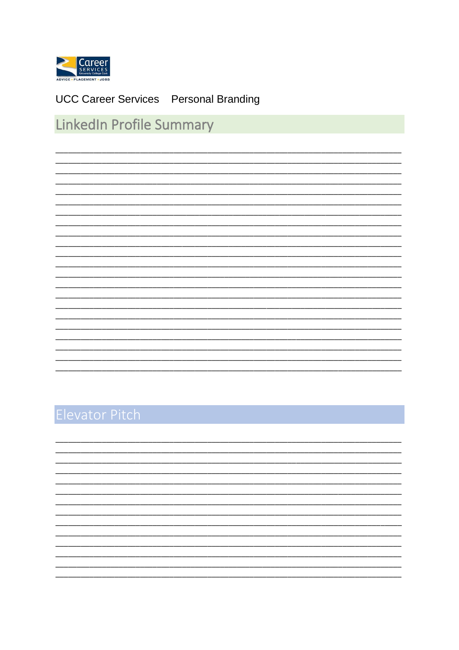

### **UCC Career Services** Personal Branding

### LinkedIn Profile Summary

## Elevator Pitch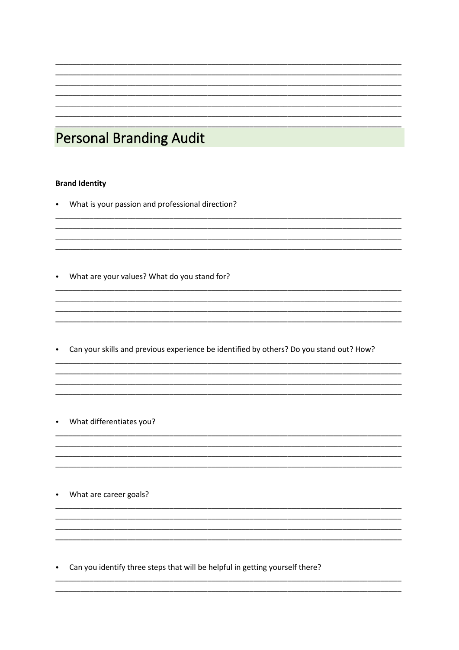### **Personal Branding Audit**

#### **Brand Identity**

- What is your passion and professional direction?
- What are your values? What do you stand for?

• Can your skills and previous experience be identified by others? Do you stand out? How?

- What differentiates you?
- What are career goals?
- Can you identify three steps that will be helpful in getting yourself there?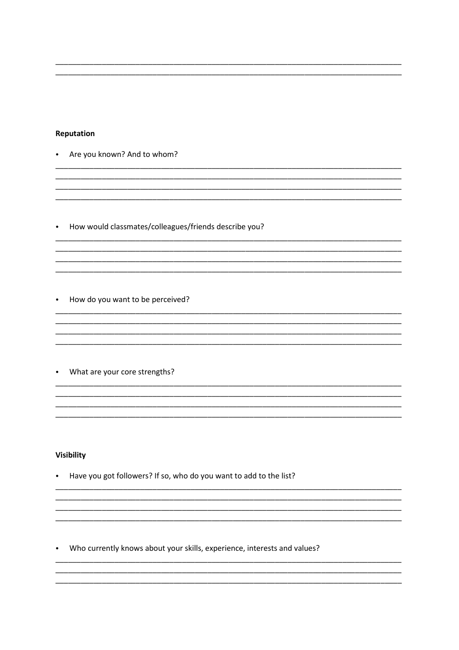#### Reputation

- Are you known? And to whom?
- How would classmates/colleagues/friends describe you?
- How do you want to be perceived?
- What are your core strengths?

#### **Visibility**

• Have you got followers? If so, who do you want to add to the list?

• Who currently knows about your skills, experience, interests and values?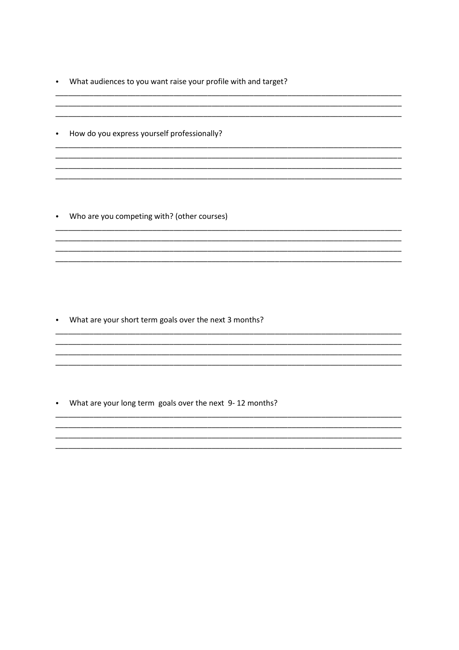• What audiences to you want raise your profile with and target?

and the control of the control of the control of the control of the control of the control of the control of th

• How do you express yourself professionally?

• Who are you competing with? (other courses)

• What are your short term goals over the next 3 months?

• What are your long term goals over the next 9-12 months?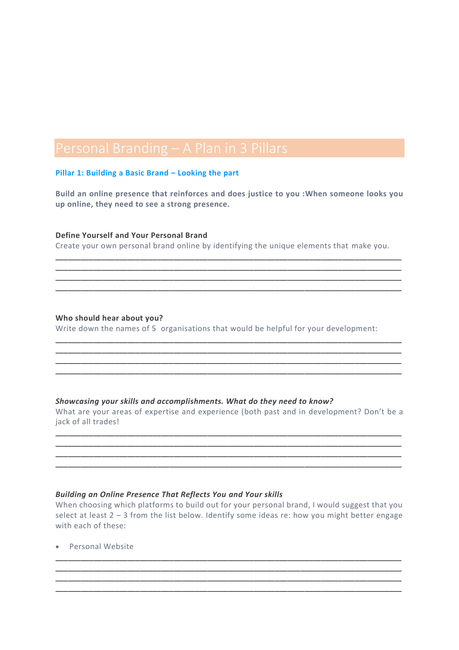#### **Pillar 1: Building a Basic Brand – Looking the part**

**Build an online presence that reinforces and does justice to you :When someone looks you up online, they need to see a strong presence.**

#### **Define Yourself and Your Personal Brand**

Create your own personal brand online by identifying the unique elements that make you.

\_\_\_\_\_\_\_\_\_\_\_\_\_\_\_\_\_\_\_\_\_\_\_\_\_\_\_\_\_\_\_\_\_\_\_\_\_\_\_\_\_\_\_\_\_\_\_\_\_\_\_\_\_\_\_\_\_\_\_\_\_\_\_\_\_\_\_\_\_\_\_\_\_\_\_\_\_\_\_\_\_\_ \_\_\_\_\_\_\_\_\_\_\_\_\_\_\_\_\_\_\_\_\_\_\_\_\_\_\_\_\_\_\_\_\_\_\_\_\_\_\_\_\_\_\_\_\_\_\_\_\_\_\_\_\_\_\_\_\_\_\_\_\_\_\_\_\_\_\_\_\_\_\_\_\_\_\_\_\_\_\_\_\_\_ \_\_\_\_\_\_\_\_\_\_\_\_\_\_\_\_\_\_\_\_\_\_\_\_\_\_\_\_\_\_\_\_\_\_\_\_\_\_\_\_\_\_\_\_\_\_\_\_\_\_\_\_\_\_\_\_\_\_\_\_\_\_\_\_\_\_\_\_\_\_\_\_\_\_\_\_\_\_\_\_\_\_ \_\_\_\_\_\_\_\_\_\_\_\_\_\_\_\_\_\_\_\_\_\_\_\_\_\_\_\_\_\_\_\_\_\_\_\_\_\_\_\_\_\_\_\_\_\_\_\_\_\_\_\_\_\_\_\_\_\_\_\_\_\_\_\_\_\_\_\_\_\_\_\_\_\_\_\_\_\_\_\_\_\_

#### **Who should hear about you?**

Write down the names of 5 organisations that would be helpful for your development:

\_\_\_\_\_\_\_\_\_\_\_\_\_\_\_\_\_\_\_\_\_\_\_\_\_\_\_\_\_\_\_\_\_\_\_\_\_\_\_\_\_\_\_\_\_\_\_\_\_\_\_\_\_\_\_\_\_\_\_\_\_\_\_\_\_\_\_\_\_\_\_\_\_\_\_\_\_\_\_\_\_\_

\_\_\_\_\_\_\_\_\_\_\_\_\_\_\_\_\_\_\_\_\_\_\_\_\_\_\_\_\_\_\_\_\_\_\_\_\_\_\_\_\_\_\_\_\_\_\_\_\_\_\_\_\_\_\_\_\_\_\_\_\_\_\_\_\_\_\_\_\_\_\_\_\_\_\_\_\_\_\_\_\_\_ \_\_\_\_\_\_\_\_\_\_\_\_\_\_\_\_\_\_\_\_\_\_\_\_\_\_\_\_\_\_\_\_\_\_\_\_\_\_\_\_\_\_\_\_\_\_\_\_\_\_\_\_\_\_\_\_\_\_\_\_\_\_\_\_\_\_\_\_\_\_\_\_\_\_\_\_\_\_\_\_\_\_

#### *Showcasing your skills and accomplishments. What do they need to know?*

What are your areas of expertise and experience (both past and in development? Don't be a jack of all trades!

\_\_\_\_\_\_\_\_\_\_\_\_\_\_\_\_\_\_\_\_\_\_\_\_\_\_\_\_\_\_\_\_\_\_\_\_\_\_\_\_\_\_\_\_\_\_\_\_\_\_\_\_\_\_\_\_\_\_\_\_\_\_\_\_\_\_\_\_\_\_\_\_\_\_\_\_\_\_\_\_\_\_ \_\_\_\_\_\_\_\_\_\_\_\_\_\_\_\_\_\_\_\_\_\_\_\_\_\_\_\_\_\_\_\_\_\_\_\_\_\_\_\_\_\_\_\_\_\_\_\_\_\_\_\_\_\_\_\_\_\_\_\_\_\_\_\_\_\_\_\_\_\_\_\_\_\_\_\_\_\_\_\_\_\_ \_\_\_\_\_\_\_\_\_\_\_\_\_\_\_\_\_\_\_\_\_\_\_\_\_\_\_\_\_\_\_\_\_\_\_\_\_\_\_\_\_\_\_\_\_\_\_\_\_\_\_\_\_\_\_\_\_\_\_\_\_\_\_\_\_\_\_\_\_\_\_\_\_\_\_\_\_\_\_\_\_\_ \_\_\_\_\_\_\_\_\_\_\_\_\_\_\_\_\_\_\_\_\_\_\_\_\_\_\_\_\_\_\_\_\_\_\_\_\_\_\_\_\_\_\_\_\_\_\_\_\_\_\_\_\_\_\_\_\_\_\_\_\_\_\_\_\_\_\_\_\_\_\_\_\_\_\_\_\_\_\_\_\_\_

#### *Building an Online Presence That Reflects You and Your skills*

When choosing which platforms to build out for your personal brand, I would suggest that you select at least 2 – 3 from the list below. Identify some ideas re: how you might better engage with each of these:

\_\_\_\_\_\_\_\_\_\_\_\_\_\_\_\_\_\_\_\_\_\_\_\_\_\_\_\_\_\_\_\_\_\_\_\_\_\_\_\_\_\_\_\_\_\_\_\_\_\_\_\_\_\_\_\_\_\_\_\_\_\_\_\_\_\_\_\_\_\_\_\_\_\_\_\_\_\_\_\_\_\_ \_\_\_\_\_\_\_\_\_\_\_\_\_\_\_\_\_\_\_\_\_\_\_\_\_\_\_\_\_\_\_\_\_\_\_\_\_\_\_\_\_\_\_\_\_\_\_\_\_\_\_\_\_\_\_\_\_\_\_\_\_\_\_\_\_\_\_\_\_\_\_\_\_\_\_\_\_\_\_\_\_\_ \_\_\_\_\_\_\_\_\_\_\_\_\_\_\_\_\_\_\_\_\_\_\_\_\_\_\_\_\_\_\_\_\_\_\_\_\_\_\_\_\_\_\_\_\_\_\_\_\_\_\_\_\_\_\_\_\_\_\_\_\_\_\_\_\_\_\_\_\_\_\_\_\_\_\_\_\_\_\_\_\_\_ \_\_\_\_\_\_\_\_\_\_\_\_\_\_\_\_\_\_\_\_\_\_\_\_\_\_\_\_\_\_\_\_\_\_\_\_\_\_\_\_\_\_\_\_\_\_\_\_\_\_\_\_\_\_\_\_\_\_\_\_\_\_\_\_\_\_\_\_\_\_\_\_\_\_\_\_\_\_\_\_\_\_

• Personal Website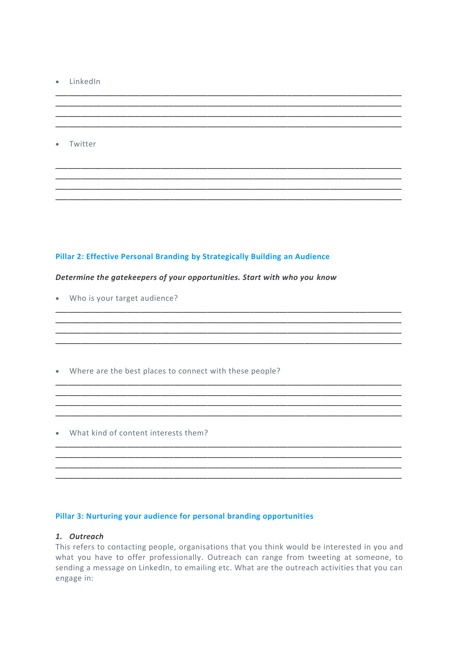- · LinkedIn
- Twitter

#### Pillar 2: Effective Personal Branding by Strategically Building an Audience

### Determine the gatekeepers of your opportunities. Start with who you know

- Who is your target audience?
- Where are the best places to connect with these people?

• What kind of content interests them?

#### Pillar 3: Nurturing your audience for personal branding opportunities

#### 1. Outreach

This refers to contacting people, organisations that you think would be interested in you and what you have to offer professionally. Outreach can range from tweeting at someone, to sending a message on LinkedIn, to emailing etc. What are the outreach activities that you can engage in: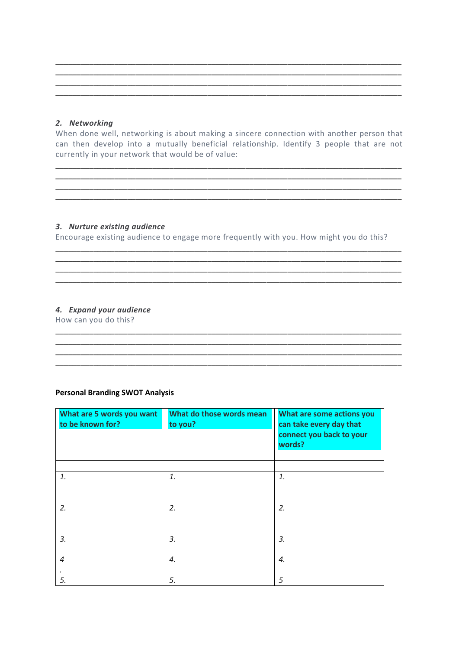#### 2. Networking

When done well, networking is about making a sincere connection with another person that can then develop into a mutually beneficial relationship. Identify 3 people that are not currently in your network that would be of value:

#### 3. Nurture existing audience

Encourage existing audience to engage more frequently with you. How might you do this?

<u> 1989 - Johann Stoff, deutscher Stoff, der Stoff, der Stoff, der Stoff, der Stoff, der Stoff, der Stoff, der S</u>

<u> 1989 - Johann Stein, marwolaethau a cyfeiliad yn y cyfeiliad a gynnwys y cyfeiliad a gynnwys y cyfeiliad a gy</u>

#### 4. Expand your audience

How can you do this?

#### **Personal Branding SWOT Analysis**

| What are 5 words you want<br>to be known for? | What do those words mean<br>to you? | What are some actions you<br>can take every day that<br>connect you back to your<br>words? |
|-----------------------------------------------|-------------------------------------|--------------------------------------------------------------------------------------------|
|                                               |                                     |                                                                                            |
| 1.                                            | 1.                                  | 1.                                                                                         |
|                                               |                                     |                                                                                            |
| 2.                                            | 2.                                  | 2.                                                                                         |
|                                               |                                     |                                                                                            |
| 3.                                            | 3.                                  | 3.                                                                                         |
|                                               |                                     |                                                                                            |
| $\overline{4}$                                | 4.                                  | 4.                                                                                         |
| 5.                                            | 5.                                  | 5                                                                                          |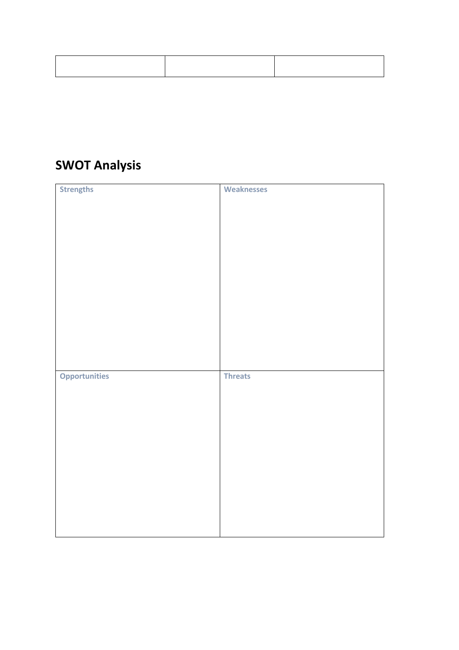### **SWOT Analysis**

| <b>Strengths</b>     | <b>Weaknesses</b> |
|----------------------|-------------------|
|                      |                   |
|                      |                   |
|                      |                   |
|                      |                   |
|                      |                   |
|                      |                   |
|                      |                   |
|                      |                   |
|                      |                   |
|                      |                   |
|                      |                   |
|                      |                   |
|                      |                   |
|                      |                   |
|                      |                   |
|                      |                   |
|                      |                   |
|                      |                   |
|                      |                   |
|                      |                   |
|                      |                   |
|                      |                   |
|                      |                   |
|                      |                   |
| <b>Opportunities</b> | <b>Threats</b>    |
|                      |                   |
|                      |                   |
|                      |                   |
|                      |                   |
|                      |                   |
|                      |                   |
|                      |                   |
|                      |                   |
|                      |                   |
|                      |                   |
|                      |                   |
|                      |                   |
|                      |                   |
|                      |                   |
|                      |                   |
|                      |                   |
|                      |                   |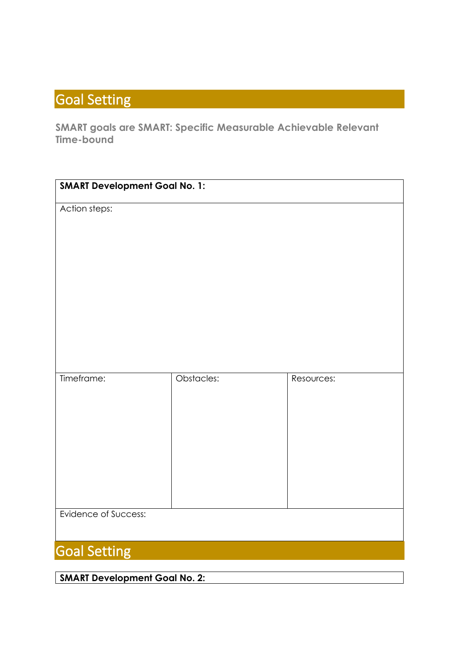# Goal Setting

**SMART goals are SMART: Specific Measurable Achievable Relevant Time-bound**

| <b>SMART Development Goal No. 1:</b> |            |            |  |  |
|--------------------------------------|------------|------------|--|--|
| Action steps:                        |            |            |  |  |
|                                      |            |            |  |  |
|                                      |            |            |  |  |
|                                      |            |            |  |  |
|                                      |            |            |  |  |
|                                      |            |            |  |  |
|                                      |            |            |  |  |
|                                      |            |            |  |  |
|                                      |            |            |  |  |
| Timeframe:                           | Obstacles: | Resources: |  |  |
|                                      |            |            |  |  |
|                                      |            |            |  |  |
|                                      |            |            |  |  |
|                                      |            |            |  |  |
|                                      |            |            |  |  |
|                                      |            |            |  |  |
|                                      |            |            |  |  |
| Evidence of Success:                 |            |            |  |  |
|                                      |            |            |  |  |
| <b>Goal Setting</b>                  |            |            |  |  |

**SMART Development Goal No. 2:**